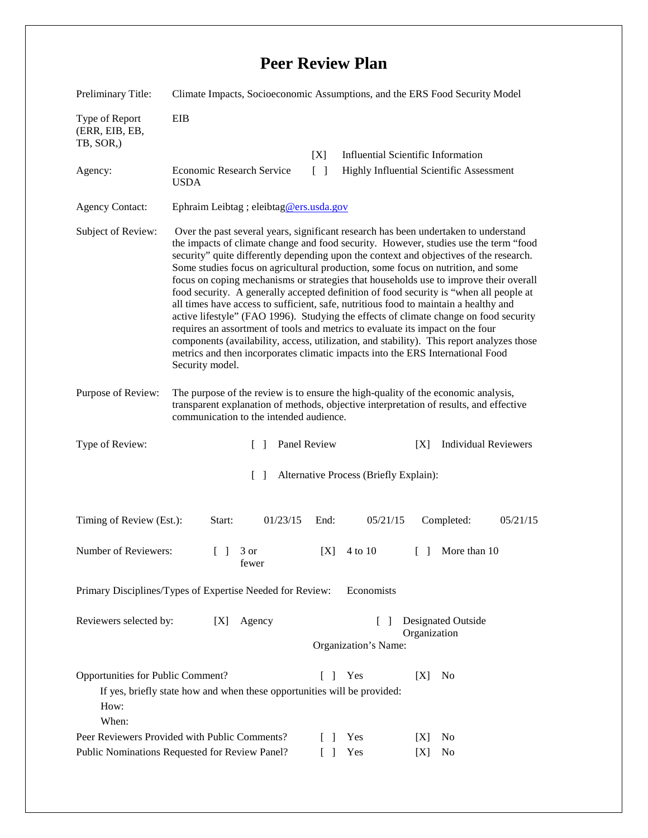## **Peer Review Plan**

| Preliminary Title:                                                                                                                                             | Climate Impacts, Socioeconomic Assumptions, and the ERS Food Security Model                                                                                                                                                                                                                                                                                                                                                                                                                                                                                                                                                                                                                                                                                                                                                                                                                                                                                                                                       |                 |                                          |                                           |  |
|----------------------------------------------------------------------------------------------------------------------------------------------------------------|-------------------------------------------------------------------------------------------------------------------------------------------------------------------------------------------------------------------------------------------------------------------------------------------------------------------------------------------------------------------------------------------------------------------------------------------------------------------------------------------------------------------------------------------------------------------------------------------------------------------------------------------------------------------------------------------------------------------------------------------------------------------------------------------------------------------------------------------------------------------------------------------------------------------------------------------------------------------------------------------------------------------|-----------------|------------------------------------------|-------------------------------------------|--|
| Type of Report<br>(ERR, EIB, EB,<br>TB, SOR,)                                                                                                                  | <b>EIB</b>                                                                                                                                                                                                                                                                                                                                                                                                                                                                                                                                                                                                                                                                                                                                                                                                                                                                                                                                                                                                        |                 |                                          |                                           |  |
|                                                                                                                                                                |                                                                                                                                                                                                                                                                                                                                                                                                                                                                                                                                                                                                                                                                                                                                                                                                                                                                                                                                                                                                                   | [X]             |                                          | <b>Influential Scientific Information</b> |  |
| Agency:                                                                                                                                                        | Economic Research Service<br><b>USDA</b>                                                                                                                                                                                                                                                                                                                                                                                                                                                                                                                                                                                                                                                                                                                                                                                                                                                                                                                                                                          | $\lceil \rceil$ | Highly Influential Scientific Assessment |                                           |  |
| <b>Agency Contact:</b>                                                                                                                                         | Ephraim Leibtag ; eleibtag@ers.usda.gov                                                                                                                                                                                                                                                                                                                                                                                                                                                                                                                                                                                                                                                                                                                                                                                                                                                                                                                                                                           |                 |                                          |                                           |  |
| Subject of Review:                                                                                                                                             | Over the past several years, significant research has been undertaken to understand<br>the impacts of climate change and food security. However, studies use the term "food<br>security" quite differently depending upon the context and objectives of the research.<br>Some studies focus on agricultural production, some focus on nutrition, and some<br>focus on coping mechanisms or strategies that households use to improve their overall<br>food security. A generally accepted definition of food security is "when all people at<br>all times have access to sufficient, safe, nutritious food to maintain a healthy and<br>active lifestyle" (FAO 1996). Studying the effects of climate change on food security<br>requires an assortment of tools and metrics to evaluate its impact on the four<br>components (availability, access, utilization, and stability). This report analyzes those<br>metrics and then incorporates climatic impacts into the ERS International Food<br>Security model. |                 |                                          |                                           |  |
| Purpose of Review:                                                                                                                                             | The purpose of the review is to ensure the high-quality of the economic analysis,<br>transparent explanation of methods, objective interpretation of results, and effective<br>communication to the intended audience.                                                                                                                                                                                                                                                                                                                                                                                                                                                                                                                                                                                                                                                                                                                                                                                            |                 |                                          |                                           |  |
| Type of Review:                                                                                                                                                | Panel Review<br>$\mathbf{1}$                                                                                                                                                                                                                                                                                                                                                                                                                                                                                                                                                                                                                                                                                                                                                                                                                                                                                                                                                                                      |                 |                                          | <b>Individual Reviewers</b><br>[X]        |  |
| Alternative Process (Briefly Explain):<br>$\Box$                                                                                                               |                                                                                                                                                                                                                                                                                                                                                                                                                                                                                                                                                                                                                                                                                                                                                                                                                                                                                                                                                                                                                   |                 |                                          |                                           |  |
| Timing of Review (Est.):                                                                                                                                       | 01/23/15<br>Start:                                                                                                                                                                                                                                                                                                                                                                                                                                                                                                                                                                                                                                                                                                                                                                                                                                                                                                                                                                                                | End:            | 05/21/15                                 | 05/21/15<br>Completed:                    |  |
| Number of Reviewers:                                                                                                                                           | $\begin{bmatrix} 1 & 3 \end{bmatrix}$<br>fewer                                                                                                                                                                                                                                                                                                                                                                                                                                                                                                                                                                                                                                                                                                                                                                                                                                                                                                                                                                    | [X]             | 4 to 10                                  | More than 10<br>$\Box$                    |  |
| Primary Disciplines/Types of Expertise Needed for Review:<br>Economists                                                                                        |                                                                                                                                                                                                                                                                                                                                                                                                                                                                                                                                                                                                                                                                                                                                                                                                                                                                                                                                                                                                                   |                 |                                          |                                           |  |
| <b>Designated Outside</b><br>Reviewers selected by:<br>[X]<br>Agency<br>$\mathbf{I}$<br>Organization<br>Organization's Name:                                   |                                                                                                                                                                                                                                                                                                                                                                                                                                                                                                                                                                                                                                                                                                                                                                                                                                                                                                                                                                                                                   |                 |                                          |                                           |  |
| Opportunities for Public Comment?<br>Yes<br>[X]<br>N <sub>0</sub><br>If yes, briefly state how and when these opportunities will be provided:<br>How:<br>When: |                                                                                                                                                                                                                                                                                                                                                                                                                                                                                                                                                                                                                                                                                                                                                                                                                                                                                                                                                                                                                   |                 |                                          |                                           |  |
| Peer Reviewers Provided with Public Comments?                                                                                                                  |                                                                                                                                                                                                                                                                                                                                                                                                                                                                                                                                                                                                                                                                                                                                                                                                                                                                                                                                                                                                                   |                 | Yes                                      | N <sub>0</sub><br>[X]                     |  |
| Public Nominations Requested for Review Panel?                                                                                                                 |                                                                                                                                                                                                                                                                                                                                                                                                                                                                                                                                                                                                                                                                                                                                                                                                                                                                                                                                                                                                                   |                 | Yes                                      | No<br>[X]                                 |  |